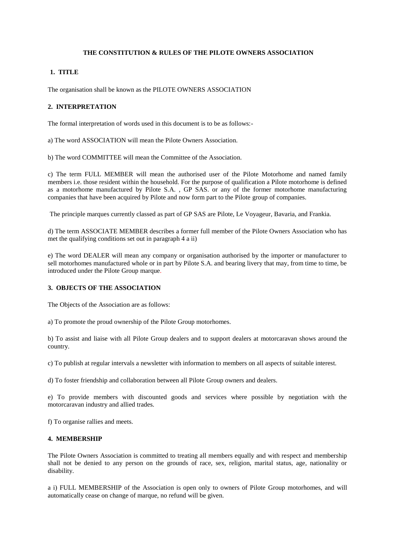## **THE CONSTITUTION & RULES OF THE PILOTE OWNERS ASSOCIATION**

## **1. TITLE**

The organisation shall be known as the PILOTE OWNERS ASSOCIATION

# **2. INTERPRETATION**

The formal interpretation of words used in this document is to be as follows:-

a) The word ASSOCIATION will mean the Pilote Owners Association.

b) The word COMMITTEE will mean the Committee of the Association.

c) The term FULL MEMBER will mean the authorised user of the Pilote Motorhome and named family members i.e. those resident within the household. For the purpose of qualification a Pilote motorhome is defined as a motorhome manufactured by Pilote S.A. , GP SAS. or any of the former motorhome manufacturing companies that have been acquired by Pilote and now form part to the Pilote group of companies.

The principle marques currently classed as part of GP SAS are Pilote, Le Voyageur, Bavaria, and Frankia.

d) The term ASSOCIATE MEMBER describes a former full member of the Pilote Owners Association who has met the qualifying conditions set out in paragraph 4 a ii)

e) The word DEALER will mean any company or organisation authorised by the importer or manufacturer to sell motorhomes manufactured whole or in part by Pilote S.A. and bearing livery that may, from time to time, be introduced under the Pilote Group marque.

# **3. OBJECTS OF THE ASSOCIATION**

The Objects of the Association are as follows:

a) To promote the proud ownership of the Pilote Group motorhomes.

b) To assist and liaise with all Pilote Group dealers and to support dealers at motorcaravan shows around the country.

c) To publish at regular intervals a newsletter with information to members on all aspects of suitable interest.

d) To foster friendship and collaboration between all Pilote Group owners and dealers.

e) To provide members with discounted goods and services where possible by negotiation with the motorcaravan industry and allied trades.

f) To organise rallies and meets.

#### **4. MEMBERSHIP**

The Pilote Owners Association is committed to treating all members equally and with respect and membership shall not be denied to any person on the grounds of race, sex, religion, marital status, age, nationality or disability.

a i) FULL MEMBERSHIP of the Association is open only to owners of Pilote Group motorhomes, and will automatically cease on change of marque, no refund will be given.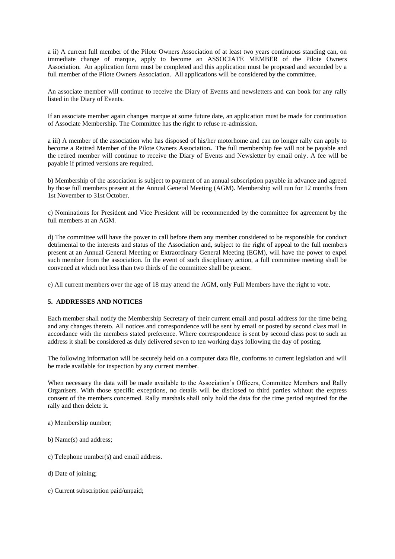a ii) A current full member of the Pilote Owners Association of at least two years continuous standing can, on immediate change of marque, apply to become an ASSOCIATE MEMBER of the Pilote Owners Association. An application form must be completed and this application must be proposed and seconded by a full member of the Pilote Owners Association. All applications will be considered by the committee.

An associate member will continue to receive the Diary of Events and newsletters and can book for any rally listed in the Diary of Events.

If an associate member again changes marque at some future date, an application must be made for continuation of Associate Membership. The Committee has the right to refuse re-admission.

a iii) A member of the association who has disposed of his/her motorhome and can no longer rally can apply to become a Retired Member of the Pilote Owners Association**.** The full membership fee will not be payable and the retired member will continue to receive the Diary of Events and Newsletter by email only. A fee will be payable if printed versions are required.

b) Membership of the association is subject to payment of an annual subscription payable in advance and agreed by those full members present at the Annual General Meeting (AGM). Membership will run for 12 months from 1st November to 31st October.

c) Nominations for President and Vice President will be recommended by the committee for agreement by the full members at an AGM.

d) The committee will have the power to call before them any member considered to be responsible for conduct detrimental to the interests and status of the Association and, subject to the right of appeal to the full members present at an Annual General Meeting or Extraordinary General Meeting (EGM), will have the power to expel such member from the association. In the event of such disciplinary action, a full committee meeting shall be convened at which not less than two thirds of the committee shall be present.

e) All current members over the age of 18 may attend the AGM, only Full Members have the right to vote.

## **5. ADDRESSES AND NOTICES**

Each member shall notify the Membership Secretary of their current email and postal address for the time being and any changes thereto. All notices and correspondence will be sent by email or posted by second class mail in accordance with the members stated preference. Where correspondence is sent by second class post to such an address it shall be considered as duly delivered seven to ten working days following the day of posting.

The following information will be securely held on a computer data file, conforms to current legislation and will be made available for inspection by any current member.

When necessary the data will be made available to the Association's Officers, Committee Members and Rally Organisers. With those specific exceptions, no details will be disclosed to third parties without the express consent of the members concerned. Rally marshals shall only hold the data for the time period required for the rally and then delete it.

- a) Membership number;
- b) Name(s) and address;
- c) Telephone number(s) and email address.
- d) Date of joining;
- e) Current subscription paid/unpaid;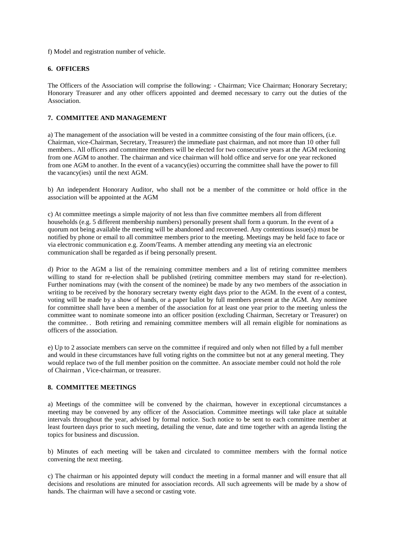f) Model and registration number of vehicle.

## **6. OFFICERS**

The Officers of the Association will comprise the following: - Chairman; Vice Chairman; Honorary Secretary; Honorary Treasurer and any other officers appointed and deemed necessary to carry out the duties of the Association.

### **7. COMMITTEE AND MANAGEMENT**

a) The management of the association will be vested in a committee consisting of the four main officers, (i.e. Chairman, vice-Chairman, Secretary, Treasurer) the immediate past chairman, and not more than 10 other full members.. All officers and committee members will be elected for two consecutive years at the AGM reckoning from one AGM to another. The chairman and vice chairman will hold office and serve for one year reckoned from one AGM to another. In the event of a vacancy(ies) occurring the committee shall have the power to fill the vacancy(ies) until the next AGM.

b) An independent Honorary Auditor, who shall not be a member of the committee or hold office in the association will be appointed at the AGM

c) At committee meetings a simple majority of not less than five committee members all from different households (e.g. 5 different membership numbers) personally present shall form a quorum. In the event of a quorum not being available the meeting will be abandoned and reconvened. Any contentious issue(s) must be notified by phone or email to all committee members prior to the meeting. Meetings may be held face to face or via electronic communication e.g. Zoom/Teams. A member attending any meeting via an electronic communication shall be regarded as if being personally present.

d) Prior to the AGM a list of the remaining committee members and a list of retiring committee members willing to stand for re-election shall be published (retiring committee members may stand for re-election). Further nominations may (with the consent of the nominee) be made by any two members of the association in writing to be received by the honorary secretary twenty eight days prior to the AGM. In the event of a contest, voting will be made by a show of hands, or a paper ballot by full members present at the AGM. Any nominee for committee shall have been a member of the association for at least one year prior to the meeting unless the committee want to nominate someone into an officer position (excluding Chairman, Secretary or Treasurer) on the committee. . Both retiring and remaining committee members will all remain eligible for nominations as officers of the association.

e) Up to 2 associate members can serve on the committee if required and only when not filled by a full member and would in these circumstances have full voting rights on the committee but not at any general meeting. They would replace two of the full member position on the committee. An associate member could not hold the role of Chairman , Vice-chairman, or treasurer.

#### **8. COMMITTEE MEETINGS**

a) Meetings of the committee will be convened by the chairman, however in exceptional circumstances a meeting may be convened by any officer of the Association. Committee meetings will take place at suitable intervals throughout the year, advised by formal notice. Such notice to be sent to each committee member at least fourteen days prior to such meeting, detailing the venue, date and time together with an agenda listing the topics for business and discussion.

b) Minutes of each meeting will be taken and circulated to committee members with the formal notice convening the next meeting.

c) The chairman or his appointed deputy will conduct the meeting in a formal manner and will ensure that all decisions and resolutions are minuted for association records. All such agreements will be made by a show of hands. The chairman will have a second or casting vote.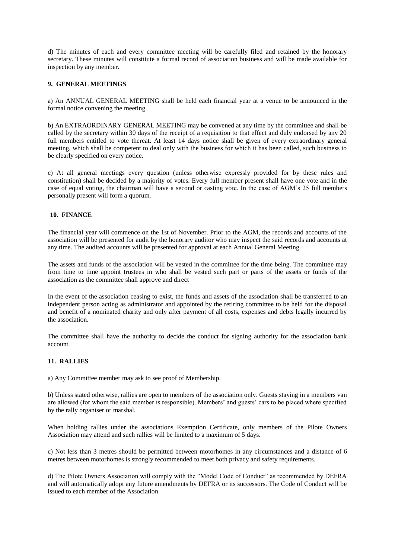d) The minutes of each and every committee meeting will be carefully filed and retained by the honorary secretary. These minutes will constitute a formal record of association business and will be made available for inspection by any member.

### **9. GENERAL MEETINGS**

a) An ANNUAL GENERAL MEETING shall be held each financial year at a venue to be announced in the formal notice convening the meeting.

b) An EXTRAORDINARY GENERAL MEETING may be convened at any time by the committee and shall be called by the secretary within 30 days of the receipt of a requisition to that effect and duly endorsed by any 20 full members entitled to vote thereat. At least 14 days notice shall be given of every extraordinary general meeting, which shall be competent to deal only with the business for which it has been called, such business to be clearly specified on every notice.

c) At all general meetings every question (unless otherwise expressly provided for by these rules and constitution) shall be decided by a majority of votes. Every full member present shall have one vote and in the case of equal voting, the chairman will have a second or casting vote. In the case of AGM's 25 full members personally present will form a quorum.

#### **10. FINANCE**

The financial year will commence on the 1st of November. Prior to the AGM, the records and accounts of the association will be presented for audit by the honorary auditor who may inspect the said records and accounts at any time. The audited accounts will be presented for approval at each Annual General Meeting.

The assets and funds of the association will be vested in the committee for the time being. The committee may from time to time appoint trustees in who shall be vested such part or parts of the assets or funds of the association as the committee shall approve and direct

In the event of the association ceasing to exist, the funds and assets of the association shall be transferred to an independent person acting as administrator and appointed by the retiring committee to be held for the disposal and benefit of a nominated charity and only after payment of all costs, expenses and debts legally incurred by the association.

The committee shall have the authority to decide the conduct for signing authority for the association bank account.

#### **11. RALLIES**

a) Any Committee member may ask to see proof of Membership.

b) Unless stated otherwise, rallies are open to members of the association only. Guests staying in a members van are allowed (for whom the said member is responsible). Members' and guests' cars to be placed where specified by the rally organiser or marshal.

When holding rallies under the associations Exemption Certificate, only members of the Pilote Owners Association may attend and such rallies will be limited to a maximum of 5 days.

c) Not less than 3 metres should be permitted between motorhomes in any circumstances and a distance of 6 metres between motorhomes is strongly recommended to meet both privacy and safety requirements.

d) The Pilote Owners Association will comply with the "Model Code of Conduct" as recommended by DEFRA and will automatically adopt any future amendments by DEFRA or its successors. The Code of Conduct will be issued to each member of the Association.